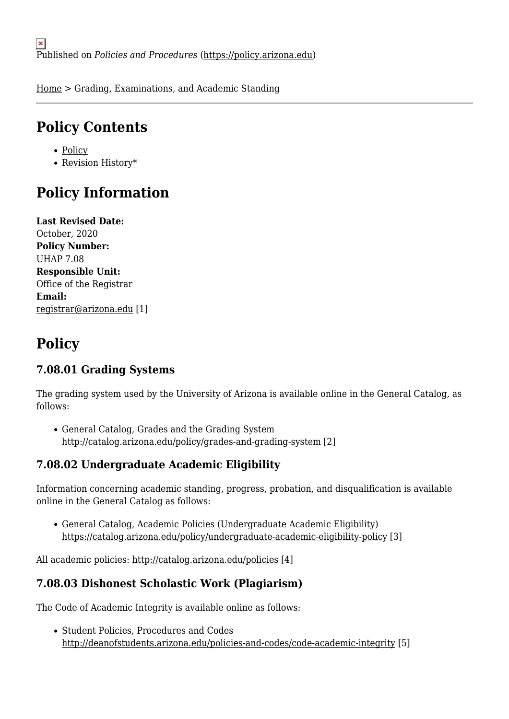[Home](https://policy.arizona.edu/) > Grading, Examinations, and Academic Standing

## **Policy Contents**

- [Policy](#page-0-0)
- [Revision History\\*](#page-1-0)

# **Policy Information**

**Last Revised Date:**  October, 2020 **Policy Number:**  UHAP 7.08 **Responsible Unit:**  Office of the Registrar **Email:**  [registrar@arizona.edu](mailto:registrar@arizona.edu) [1]

# <span id="page-0-0"></span>**Policy**

### **7.08.01 Grading Systems**

The grading system used by the University of Arizona is available online in the General Catalog, as follows:

General Catalog, Grades and the Grading System <http://catalog.arizona.edu/policy/grades-and-grading-system> [2]

#### **7.08.02 Undergraduate Academic Eligibility**

Information concerning academic standing, progress, probation, and disqualification is available online in the General Catalog as follows:

General Catalog, Academic Policies (Undergraduate Academic Eligibility) <https://catalog.arizona.edu/policy/undergraduate-academic-eligibility-policy> [3]

All academic policies: <http://catalog.arizona.edu/policies> [4]

#### **7.08.03 Dishonest Scholastic Work (Plagiarism)**

The Code of Academic Integrity is available online as follows:

• Student Policies, Procedures and Codes <http://deanofstudents.arizona.edu/policies-and-codes/code-academic-integrity> [5]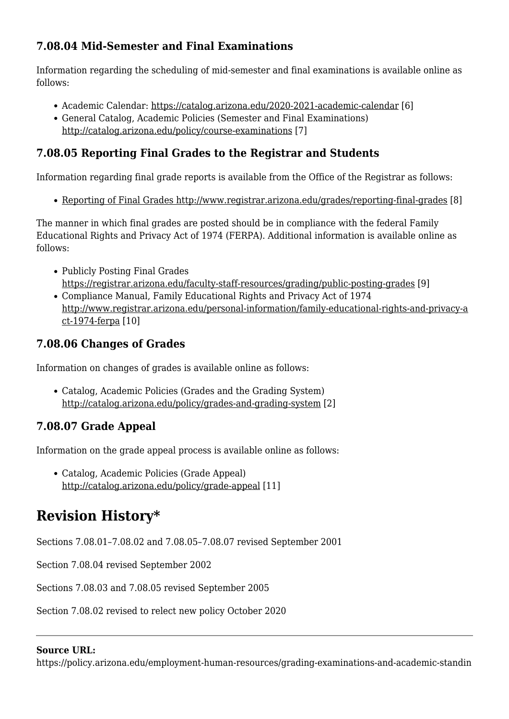### **7.08.04 Mid-Semester and Final Examinations**

Information regarding the scheduling of mid-semester and final examinations is available online as follows:

- Academic Calendar: <https://catalog.arizona.edu/2020-2021-academic-calendar> [6]
- General Catalog, Academic Policies (Semester and Final Examinations) <http://catalog.arizona.edu/policy/course-examinations> [7]

### **7.08.05 Reporting Final Grades to the Registrar and Students**

Information regarding final grade reports is available from the Office of the Registrar as follows:

• [Reporting of Final Grades http://www.registrar.arizona.edu/grades/reporting-final-grades](http://www.registrar.arizona.edu/grades/reporting-final-grades) [8]

The manner in which final grades are posted should be in compliance with the federal Family Educational Rights and Privacy Act of 1974 (FERPA). Additional information is available online as follows:

- Publicly Posting Final Grades [https://registrar.arizona.edu/faculty-staff-resources/grading/public-posting-grades](http://www.registrar.arizona.edu/grades/publicly-posting-final-grades) [9]
- Compliance Manual, Family Educational Rights and Privacy Act of 1974 [http://www.registrar.arizona.edu/personal-information/family-educational-rights-and-privacy-a](http://www.registrar.arizona.edu/personal-information/family-educational-rights-and-privacy-act-1974-ferpa) [ct-1974-ferpa](http://www.registrar.arizona.edu/personal-information/family-educational-rights-and-privacy-act-1974-ferpa) [10]

#### **7.08.06 Changes of Grades**

Information on changes of grades is available online as follows:

Catalog, Academic Policies (Grades and the Grading System) <http://catalog.arizona.edu/policy/grades-and-grading-system> [2]

### **7.08.07 Grade Appeal**

Information on the grade appeal process is available online as follows:

Catalog, Academic Policies (Grade Appeal) <http://catalog.arizona.edu/policy/grade-appeal> [11]

## <span id="page-1-0"></span>**Revision History\***

Sections 7.08.01–7.08.02 and 7.08.05–7.08.07 revised September 2001

Section 7.08.04 revised September 2002

Sections 7.08.03 and 7.08.05 revised September 2005

Section 7.08.02 revised to relect new policy October 2020

#### **Source URL:**

https://policy.arizona.edu/employment-human-resources/grading-examinations-and-academic-standin